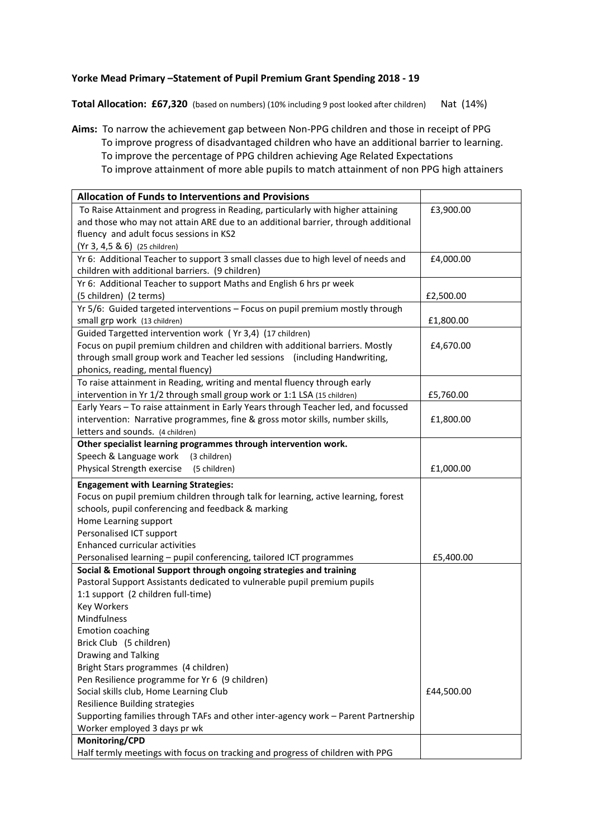## **Yorke Mead Primary –Statement of Pupil Premium Grant Spending 2018 - 19**

**Total Allocation: £67,320** (based on numbers) (10% including 9 post looked after children) Nat (14%)

**Aims:** To narrow the achievement gap between Non-PPG children and those in receipt of PPG To improve progress of disadvantaged children who have an additional barrier to learning. To improve the percentage of PPG children achieving Age Related Expectations To improve attainment of more able pupils to match attainment of non PPG high attainers

| <b>Allocation of Funds to Interventions and Provisions</b>                                      |            |
|-------------------------------------------------------------------------------------------------|------------|
| To Raise Attainment and progress in Reading, particularly with higher attaining                 | £3,900.00  |
| and those who may not attain ARE due to an additional barrier, through additional               |            |
| fluency and adult focus sessions in KS2                                                         |            |
| (Yr 3, 4,5 & 6) (25 children)                                                                   |            |
| Yr 6: Additional Teacher to support 3 small classes due to high level of needs and              | £4,000.00  |
| children with additional barriers. (9 children)                                                 |            |
| Yr 6: Additional Teacher to support Maths and English 6 hrs pr week                             |            |
| (5 children) (2 terms)                                                                          | £2,500.00  |
| Yr 5/6: Guided targeted interventions - Focus on pupil premium mostly through                   |            |
| small grp work (13 children)                                                                    | £1,800.00  |
| Guided Targetted intervention work (Yr 3,4) (17 children)                                       |            |
| Focus on pupil premium children and children with additional barriers. Mostly                   | £4,670.00  |
| through small group work and Teacher led sessions (including Handwriting,                       |            |
| phonics, reading, mental fluency)                                                               |            |
| To raise attainment in Reading, writing and mental fluency through early                        |            |
| intervention in Yr 1/2 through small group work or 1:1 LSA (15 children)                        | £5,760.00  |
| Early Years - To raise attainment in Early Years through Teacher led, and focussed              |            |
| intervention: Narrative programmes, fine & gross motor skills, number skills,                   | £1,800.00  |
| letters and sounds. (4 children)                                                                |            |
| Other specialist learning programmes through intervention work.                                 |            |
| Speech & Language work<br>(3 children)                                                          |            |
| Physical Strength exercise<br>(5 children)                                                      | £1,000.00  |
| <b>Engagement with Learning Strategies:</b>                                                     |            |
|                                                                                                 |            |
| Focus on pupil premium children through talk for learning, active learning, forest              |            |
| schools, pupil conferencing and feedback & marking                                              |            |
| Home Learning support                                                                           |            |
| Personalised ICT support                                                                        |            |
| <b>Enhanced curricular activities</b>                                                           |            |
| Personalised learning - pupil conferencing, tailored ICT programmes                             | £5,400.00  |
| Social & Emotional Support through ongoing strategies and training                              |            |
| Pastoral Support Assistants dedicated to vulnerable pupil premium pupils                        |            |
| 1:1 support (2 children full-time)                                                              |            |
| <b>Key Workers</b>                                                                              |            |
| Mindfulness                                                                                     |            |
| <b>Emotion coaching</b>                                                                         |            |
| Brick Club (5 children)                                                                         |            |
| Drawing and Talking                                                                             |            |
| Bright Stars programmes (4 children)                                                            |            |
| Pen Resilience programme for Yr 6 (9 children)                                                  |            |
| Social skills club, Home Learning Club                                                          | £44,500.00 |
| Resilience Building strategies                                                                  |            |
| Supporting families through TAFs and other inter-agency work - Parent Partnership               |            |
| Worker employed 3 days pr wk                                                                    |            |
| Monitoring/CPD<br>Half termly meetings with focus on tracking and progress of children with PPG |            |